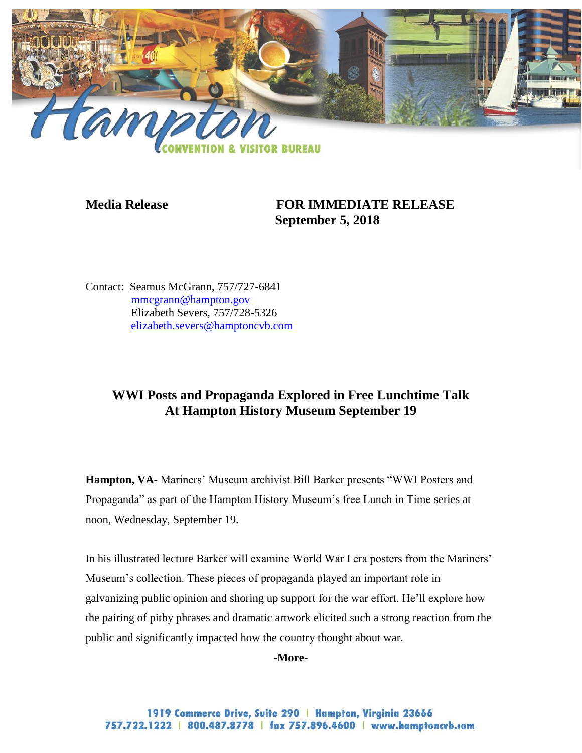

**Media Release FOR IMMEDIATE RELEASE September 5, 2018**

Contact: Seamus McGrann, 757/727-6841 [mmcgrann@hampton.gov](mailto:mmcgrann@hampton.gov) Elizabeth Severs, 757/728-5326 [elizabeth.severs@hamptoncvb.com](mailto:elizabeth.severs@hamptoncvb.com)

## **WWI Posts and Propaganda Explored in Free Lunchtime Talk At Hampton History Museum September 19**

**Hampton, VA-** Mariners' Museum archivist Bill Barker presents "WWI Posters and Propaganda" as part of the Hampton History Museum's free Lunch in Time series at noon, Wednesday, September 19.

In his illustrated lecture Barker will examine World War I era posters from the Mariners' Museum's collection. These pieces of propaganda played an important role in galvanizing public opinion and shoring up support for the war effort. He'll explore how the pairing of pithy phrases and dramatic artwork elicited such a strong reaction from the public and significantly impacted how the country thought about war.

**-More-**